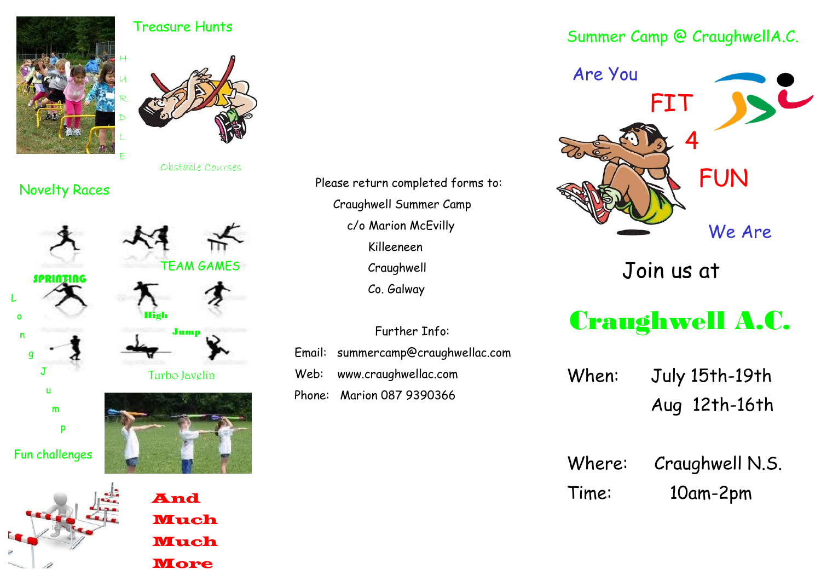

## Treasure Hunts



Obstacle Courses

TEAM GAMES

## Novelty Races













Fun challenges



Jump

High



 Please return completed forms to: Craughwell Summer Camp c/o Marion McEvilly Killeeneen Craughwell Co. Galway

 Further Info: Email: summercamp@craughwellac.com Web: www.craughwellac.com Phone: Marion 087 9390366

## Summer Camp @ CraughwellA.C.



Join us at

## Craughwell A.C.

| When: | July 15th-19th |  |  |  |
|-------|----------------|--|--|--|
|       | Aug 12th-16th  |  |  |  |

Where: Craughwell N.S. Time: 10am-2pm